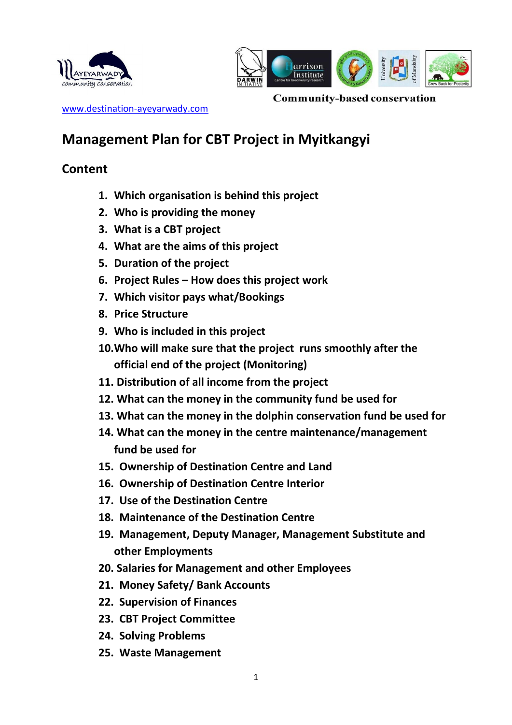



**Community-based conservation** 

[www.destination-ayeyarwady.com](http://www.destination-ayeyarwady.com/)

# **Management Plan for CBT Project in Myitkangyi**

## **Content**

- **1. Which organisation is behind this project**
- **2. Who is providing the money**
- **3. What is a CBT project**
- **4. What are the aims of this project**
- **5. Duration of the project**
- **6. Project Rules – How does this project work**
- **7. Which visitor pays what/Bookings**
- **8. Price Structure**
- **9. Who is included in this project**
- **10.Who will make sure that the project runs smoothly after the official end of the project (Monitoring)**
- **11. Distribution of all income from the project**
- **12. What can the money in the community fund be used for**
- **13. What can the money in the dolphin conservation fund be used for**
- **14. What can the money in the centre maintenance/management fund be used for**
- **15. Ownership of Destination Centre and Land**
- **16. Ownership of Destination Centre Interior**
- **17. Use of the Destination Centre**
- **18. Maintenance of the Destination Centre**
- **19. Management, Deputy Manager, Management Substitute and other Employments**
- **20. Salaries for Management and other Employees**
- **21. Money Safety/ Bank Accounts**
- **22. Supervision of Finances**
- **23. CBT Project Committee**
- **24. Solving Problems**
- **25. Waste Management**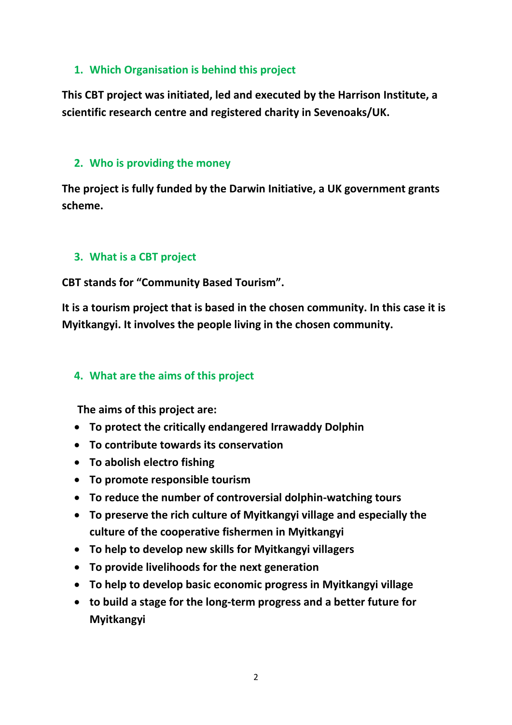### **1. Which Organisation is behind this project**

**This CBT project was initiated, led and executed by the Harrison Institute, a scientific research centre and registered charity in Sevenoaks/UK.** 

#### **2. Who is providing the money**

**The project is fully funded by the Darwin Initiative, a UK government grants scheme.**

### **3. What is a CBT project**

**CBT stands for "Community Based Tourism".** 

**It is a tourism project that is based in the chosen community. In this case it is Myitkangyi. It involves the people living in the chosen community.**

### **4. What are the aims of this project**

**The aims of this project are:**

- **To protect the critically endangered Irrawaddy Dolphin**
- **To contribute towards its conservation**
- **To abolish electro fishing**
- **To promote responsible tourism**
- **To reduce the number of controversial dolphin-watching tours**
- **To preserve the rich culture of Myitkangyi village and especially the culture of the cooperative fishermen in Myitkangyi**
- **To help to develop new skills for Myitkangyi villagers**
- **To provide livelihoods for the next generation**
- **To help to develop basic economic progress in Myitkangyi village**
- **to build a stage for the long-term progress and a better future for Myitkangyi**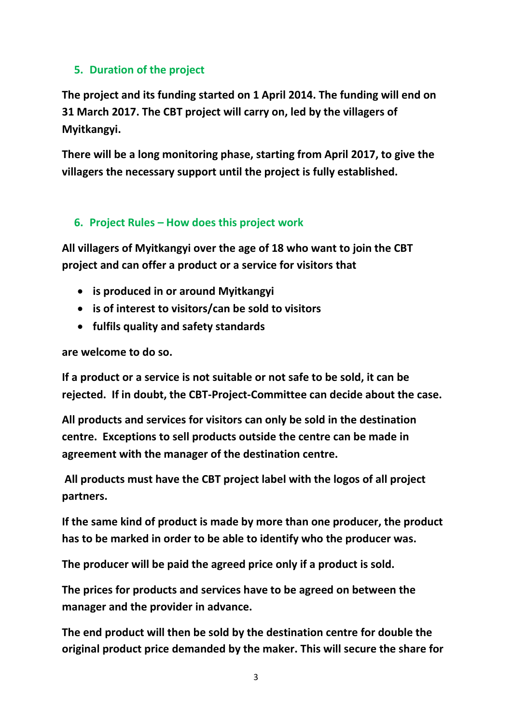## **5. Duration of the project**

**The project and its funding started on 1 April 2014. The funding will end on 31 March 2017. The CBT project will carry on, led by the villagers of Myitkangyi.**

**There will be a long monitoring phase, starting from April 2017, to give the villagers the necessary support until the project is fully established.**

## **6. Project Rules – How does this project work**

**All villagers of Myitkangyi over the age of 18 who want to join the CBT project and can offer a product or a service for visitors that**

- **is produced in or around Myitkangyi**
- **is of interest to visitors/can be sold to visitors**
- **fulfils quality and safety standards**

**are welcome to do so.**

**If a product or a service is not suitable or not safe to be sold, it can be rejected. If in doubt, the CBT-Project-Committee can decide about the case.**

**All products and services for visitors can only be sold in the destination centre. Exceptions to sell products outside the centre can be made in agreement with the manager of the destination centre.** 

**All products must have the CBT project label with the logos of all project partners.**

**If the same kind of product is made by more than one producer, the product has to be marked in order to be able to identify who the producer was.** 

**The producer will be paid the agreed price only if a product is sold.**

**The prices for products and services have to be agreed on between the manager and the provider in advance.** 

**The end product will then be sold by the destination centre for double the original product price demanded by the maker. This will secure the share for**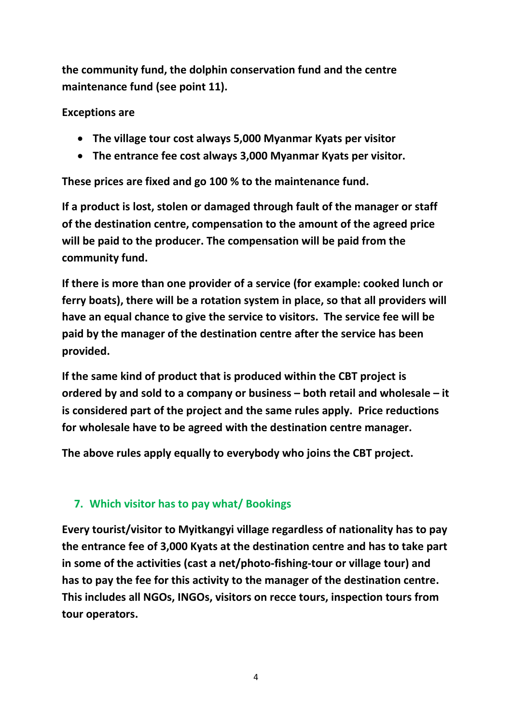**the community fund, the dolphin conservation fund and the centre maintenance fund (see point 11).**

**Exceptions are**

- **The village tour cost always 5,000 Myanmar Kyats per visitor**
- **The entrance fee cost always 3,000 Myanmar Kyats per visitor.**

**These prices are fixed and go 100 % to the maintenance fund.**

**If a product is lost, stolen or damaged through fault of the manager or staff of the destination centre, compensation to the amount of the agreed price will be paid to the producer. The compensation will be paid from the community fund.**

**If there is more than one provider of a service (for example: cooked lunch or ferry boats), there will be a rotation system in place, so that all providers will have an equal chance to give the service to visitors. The service fee will be paid by the manager of the destination centre after the service has been provided.**

**If the same kind of product that is produced within the CBT project is ordered by and sold to a company or business – both retail and wholesale – it is considered part of the project and the same rules apply. Price reductions for wholesale have to be agreed with the destination centre manager.**

**The above rules apply equally to everybody who joins the CBT project.**

## **7. Which visitor has to pay what/ Bookings**

**Every tourist/visitor to Myitkangyi village regardless of nationality has to pay the entrance fee of 3,000 Kyats at the destination centre and has to take part in some of the activities (cast a net/photo-fishing-tour or village tour) and has to pay the fee for this activity to the manager of the destination centre. This includes all NGOs, INGOs, visitors on recce tours, inspection tours from tour operators.**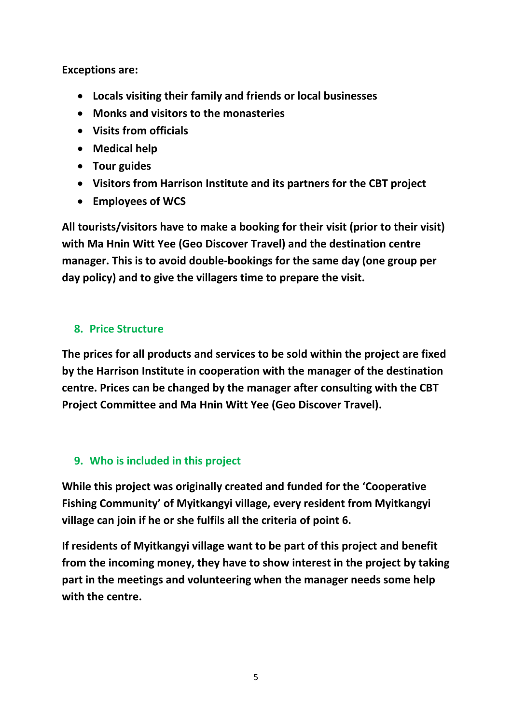**Exceptions are:**

- **Locals visiting their family and friends or local businesses**
- **Monks and visitors to the monasteries**
- **Visits from officials**
- **Medical help**
- **Tour guides**
- **Visitors from Harrison Institute and its partners for the CBT project**
- **Employees of WCS**

**All tourists/visitors have to make a booking for their visit (prior to their visit) with Ma Hnin Witt Yee (Geo Discover Travel) and the destination centre manager. This is to avoid double-bookings for the same day (one group per day policy) and to give the villagers time to prepare the visit.**

## **8. Price Structure**

**The prices for all products and services to be sold within the project are fixed by the Harrison Institute in cooperation with the manager of the destination centre. Prices can be changed by the manager after consulting with the CBT Project Committee and Ma Hnin Witt Yee (Geo Discover Travel).** 

## **9. Who is included in this project**

**While this project was originally created and funded for the 'Cooperative Fishing Community' of Myitkangyi village, every resident from Myitkangyi village can join if he or she fulfils all the criteria of point 6.**

**If residents of Myitkangyi village want to be part of this project and benefit from the incoming money, they have to show interest in the project by taking part in the meetings and volunteering when the manager needs some help with the centre.**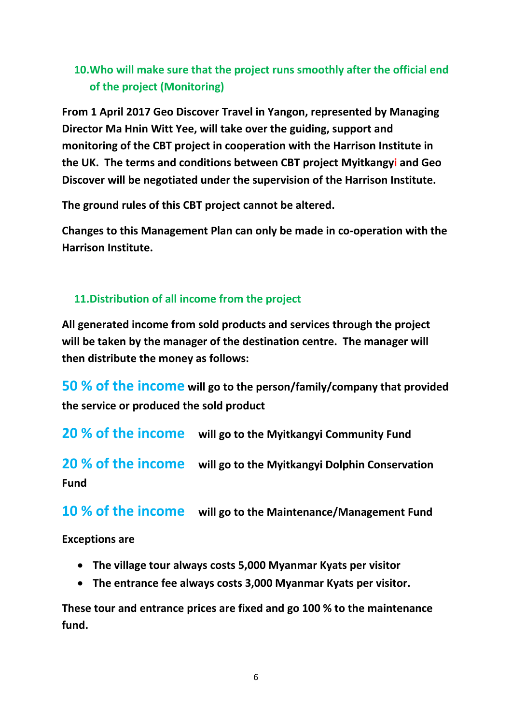## **10.Who will make sure that the project runs smoothly after the official end of the project (Monitoring)**

**From 1 April 2017 Geo Discover Travel in Yangon, represented by Managing Director Ma Hnin Witt Yee, will take over the guiding, support and monitoring of the CBT project in cooperation with the Harrison Institute in the UK. The terms and conditions between CBT project Myitkangyi and Geo Discover will be negotiated under the supervision of the Harrison Institute.** 

**The ground rules of this CBT project cannot be altered.**

**Changes to this Management Plan can only be made in co-operation with the Harrison Institute.**

### **11.Distribution of all income from the project**

**All generated income from sold products and services through the project will be taken by the manager of the destination centre. The manager will then distribute the money as follows:**

**50 % of the income will go to the person/family/company that provided the service or produced the sold product**

**20 % of the income will go to the Myitkangyi Community Fund**

**20 % of the income will go to the Myitkangyi Dolphin Conservation Fund**

**10 % of the income will go to the Maintenance/Management Fund**

**Exceptions are**

- **The village tour always costs 5,000 Myanmar Kyats per visitor**
- **The entrance fee always costs 3,000 Myanmar Kyats per visitor.**

**These tour and entrance prices are fixed and go 100 % to the maintenance fund.**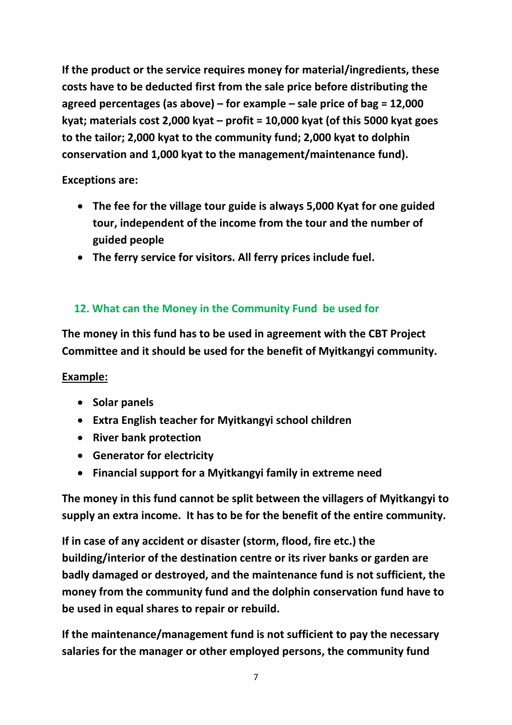**If the product or the service requires money for material/ingredients, these costs have to be deducted first from the sale price before distributing the agreed percentages (as above) – for example – sale price of bag = 12,000 kyat; materials cost 2,000 kyat – profit = 10,000 kyat (of this 5000 kyat goes to the tailor; 2,000 kyat to the community fund; 2,000 kyat to dolphin conservation and 1,000 kyat to the management/maintenance fund).**

**Exceptions are:**

- **The fee for the village tour guide is always 5,000 Kyat for one guided tour, independent of the income from the tour and the number of guided people**
- **The ferry service for visitors. All ferry prices include fuel.**

## **12. What can the Money in the Community Fund be used for**

**The money in this fund has to be used in agreement with the CBT Project Committee and it should be used for the benefit of Myitkangyi community.**

## **Example:**

- **s** Solar panels
- **Extra English teacher for Myitkangyi school children**
- **River bank protection**
- **Generator for electricity**
- **Financial support for a Myitkangyi family in extreme need**

**The money in this fund cannot be split between the villagers of Myitkangyi to supply an extra income. It has to be for the benefit of the entire community.**

**If in case of any accident or disaster (storm, flood, fire etc.) the building/interior of the destination centre or its river banks or garden are badly damaged or destroyed, and the maintenance fund is not sufficient, the money from the community fund and the dolphin conservation fund have to be used in equal shares to repair or rebuild.** 

**If the maintenance/management fund is not sufficient to pay the necessary salaries for the manager or other employed persons, the community fund**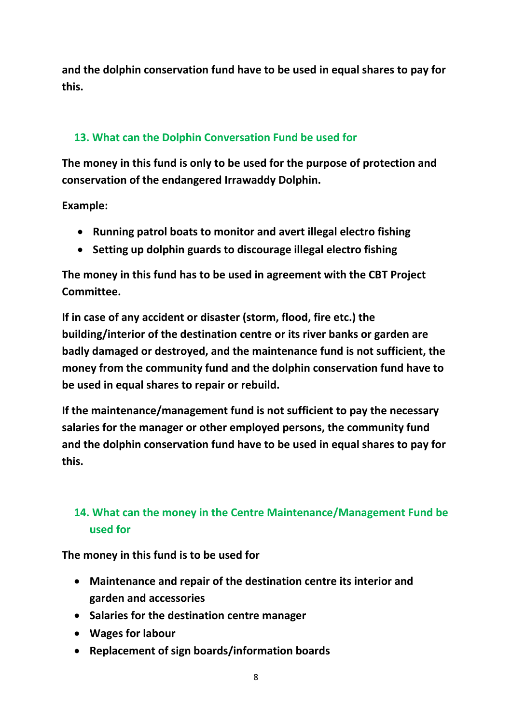**and the dolphin conservation fund have to be used in equal shares to pay for this.**

## **13. What can the Dolphin Conversation Fund be used for**

**The money in this fund is only to be used for the purpose of protection and conservation of the endangered Irrawaddy Dolphin.** 

**Example:**

- **Running patrol boats to monitor and avert illegal electro fishing**
- **Setting up dolphin guards to discourage illegal electro fishing**

**The money in this fund has to be used in agreement with the CBT Project Committee.**

**If in case of any accident or disaster (storm, flood, fire etc.) the building/interior of the destination centre or its river banks or garden are badly damaged or destroyed, and the maintenance fund is not sufficient, the money from the community fund and the dolphin conservation fund have to be used in equal shares to repair or rebuild.** 

**If the maintenance/management fund is not sufficient to pay the necessary salaries for the manager or other employed persons, the community fund and the dolphin conservation fund have to be used in equal shares to pay for this.**

## **14. What can the money in the Centre Maintenance/Management Fund be used for**

**The money in this fund is to be used for**

- **Maintenance and repair of the destination centre its interior and garden and accessories**
- **Salaries for the destination centre manager**
- **Wages for labour**
- **Replacement of sign boards/information boards**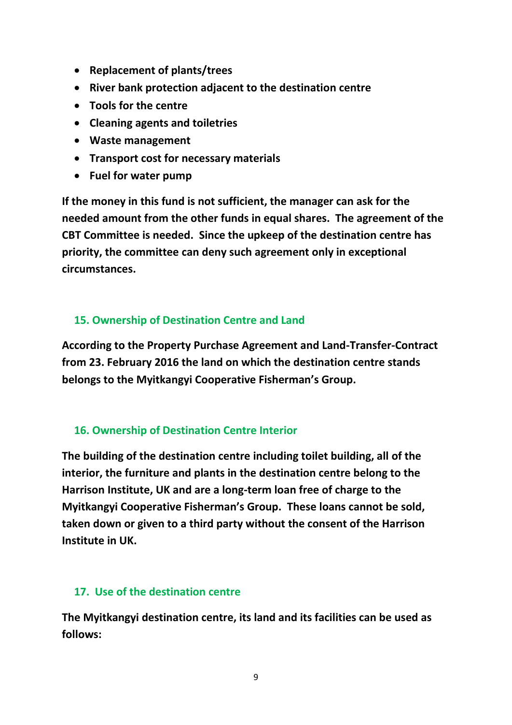- **Replacement of plants/trees**
- **River bank protection adjacent to the destination centre**
- **Tools for the centre**
- **Cleaning agents and toiletries**
- **Waste management**
- **Transport cost for necessary materials**
- **Fuel for water pump**

**If the money in this fund is not sufficient, the manager can ask for the needed amount from the other funds in equal shares. The agreement of the CBT Committee is needed. Since the upkeep of the destination centre has priority, the committee can deny such agreement only in exceptional circumstances.**

#### **15. Ownership of Destination Centre and Land**

**According to the Property Purchase Agreement and Land-Transfer-Contract from 23. February 2016 the land on which the destination centre stands belongs to the Myitkangyi Cooperative Fisherman's Group.**

### **16. Ownership of Destination Centre Interior**

**The building of the destination centre including toilet building, all of the interior, the furniture and plants in the destination centre belong to the Harrison Institute, UK and are a long-term loan free of charge to the Myitkangyi Cooperative Fisherman's Group. These loans cannot be sold, taken down or given to a third party without the consent of the Harrison Institute in UK.**

#### **17. Use of the destination centre**

**The Myitkangyi destination centre, its land and its facilities can be used as follows:**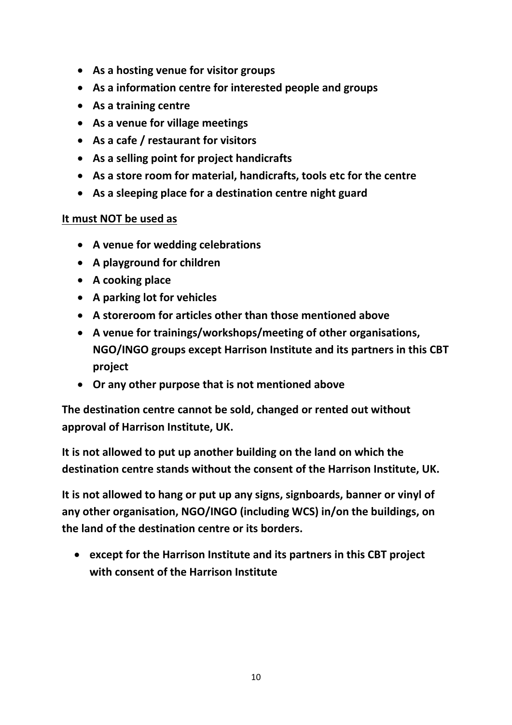- **As a hosting venue for visitor groups**
- **As a information centre for interested people and groups**
- **As a training centre**
- **As a venue for village meetings**
- **As a cafe / restaurant for visitors**
- **As a selling point for project handicrafts**
- **As a store room for material, handicrafts, tools etc for the centre**
- **As a sleeping place for a destination centre night guard**

### **It must NOT be used as**

- **A venue for wedding celebrations**
- **A playground for children**
- **A cooking place**
- **A parking lot for vehicles**
- **A storeroom for articles other than those mentioned above**
- **A venue for trainings/workshops/meeting of other organisations, NGO/INGO groups except Harrison Institute and its partners in this CBT project**
- **Or any other purpose that is not mentioned above**

**The destination centre cannot be sold, changed or rented out without approval of Harrison Institute, UK.**

**It is not allowed to put up another building on the land on which the destination centre stands without the consent of the Harrison Institute, UK.**

**It is not allowed to hang or put up any signs, signboards, banner or vinyl of any other organisation, NGO/INGO (including WCS) in/on the buildings, on the land of the destination centre or its borders.**

 **except for the Harrison Institute and its partners in this CBT project with consent of the Harrison Institute**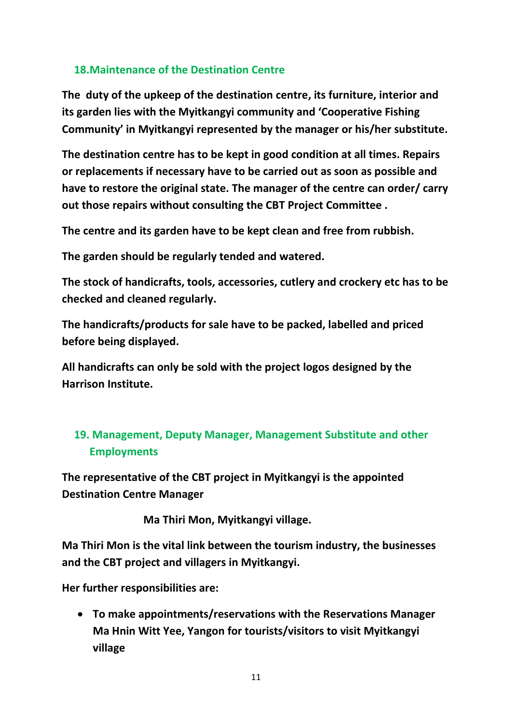## **18.Maintenance of the Destination Centre**

**The duty of the upkeep of the destination centre, its furniture, interior and its garden lies with the Myitkangyi community and 'Cooperative Fishing Community' in Myitkangyi represented by the manager or his/her substitute.**

**The destination centre has to be kept in good condition at all times. Repairs or replacements if necessary have to be carried out as soon as possible and have to restore the original state. The manager of the centre can order/ carry out those repairs without consulting the CBT Project Committee .** 

**The centre and its garden have to be kept clean and free from rubbish.**

**The garden should be regularly tended and watered.**

**The stock of handicrafts, tools, accessories, cutlery and crockery etc has to be checked and cleaned regularly.**

**The handicrafts/products for sale have to be packed, labelled and priced before being displayed.**

**All handicrafts can only be sold with the project logos designed by the Harrison Institute.**

## **19. Management, Deputy Manager, Management Substitute and other Employments**

**The representative of the CBT project in Myitkangyi is the appointed Destination Centre Manager**

 **Ma Thiri Mon, Myitkangyi village.**

**Ma Thiri Mon is the vital link between the tourism industry, the businesses and the CBT project and villagers in Myitkangyi.** 

**Her further responsibilities are:**

 **To make appointments/reservations with the Reservations Manager Ma Hnin Witt Yee, Yangon for tourists/visitors to visit Myitkangyi village**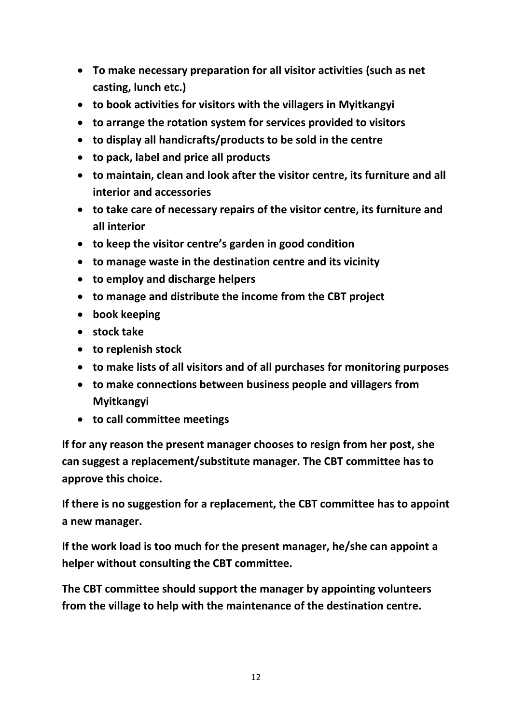- **To make necessary preparation for all visitor activities (such as net casting, lunch etc.)**
- **to book activities for visitors with the villagers in Myitkangyi**
- **to arrange the rotation system for services provided to visitors**
- **to display all handicrafts/products to be sold in the centre**
- **to pack, label and price all products**
- **to maintain, clean and look after the visitor centre, its furniture and all interior and accessories**
- **to take care of necessary repairs of the visitor centre, its furniture and all interior**
- **to keep the visitor centre's garden in good condition**
- **to manage waste in the destination centre and its vicinity**
- **to employ and discharge helpers**
- **to manage and distribute the income from the CBT project**
- **book keeping**
- **stock take**
- **to replenish stock**
- **to make lists of all visitors and of all purchases for monitoring purposes**
- **to make connections between business people and villagers from Myitkangyi**
- **to call committee meetings**

**If for any reason the present manager chooses to resign from her post, she can suggest a replacement/substitute manager. The CBT committee has to approve this choice.** 

**If there is no suggestion for a replacement, the CBT committee has to appoint a new manager.** 

**If the work load is too much for the present manager, he/she can appoint a helper without consulting the CBT committee.** 

**The CBT committee should support the manager by appointing volunteers from the village to help with the maintenance of the destination centre.**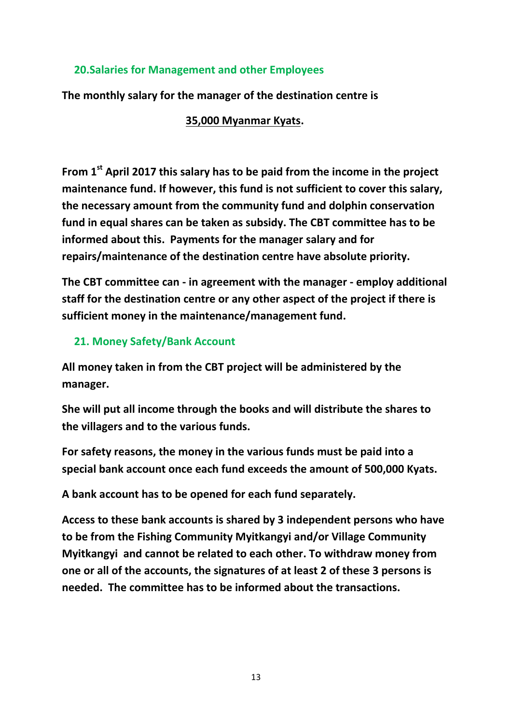### **20.Salaries for Management and other Employees**

**The monthly salary for the manager of the destination centre is**

### **35,000 Myanmar Kyats.**

**From 1st April 2017 this salary has to be paid from the income in the project maintenance fund. If however, this fund is not sufficient to cover this salary, the necessary amount from the community fund and dolphin conservation fund in equal shares can be taken as subsidy. The CBT committee has to be informed about this. Payments for the manager salary and for repairs/maintenance of the destination centre have absolute priority.**

**The CBT committee can - in agreement with the manager - employ additional staff for the destination centre or any other aspect of the project if there is sufficient money in the maintenance/management fund.**

### **21. Money Safety/Bank Account**

**All money taken in from the CBT project will be administered by the manager.**

**She will put all income through the books and will distribute the shares to the villagers and to the various funds.** 

**For safety reasons, the money in the various funds must be paid into a special bank account once each fund exceeds the amount of 500,000 Kyats.**

**A bank account has to be opened for each fund separately.** 

**Access to these bank accounts is shared by 3 independent persons who have to be from the Fishing Community Myitkangyi and/or Village Community Myitkangyi and cannot be related to each other. To withdraw money from one or all of the accounts, the signatures of at least 2 of these 3 persons is needed. The committee has to be informed about the transactions.**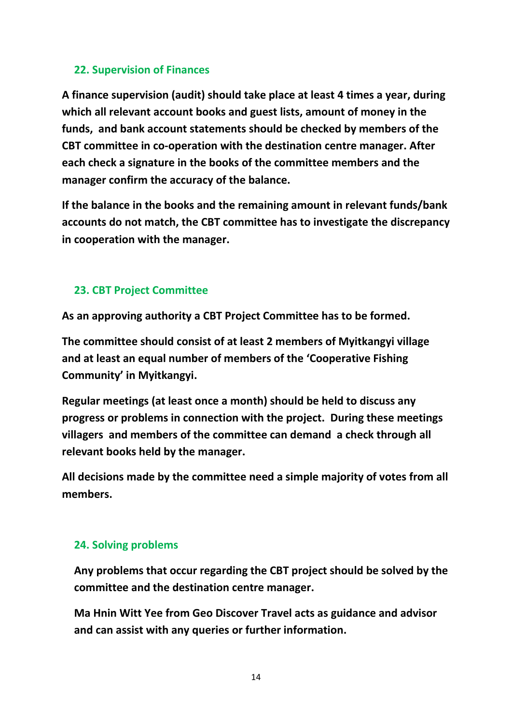## **22. Supervision of Finances**

**A finance supervision (audit) should take place at least 4 times a year, during which all relevant account books and guest lists, amount of money in the funds, and bank account statements should be checked by members of the CBT committee in co-operation with the destination centre manager. After each check a signature in the books of the committee members and the manager confirm the accuracy of the balance.**

**If the balance in the books and the remaining amount in relevant funds/bank accounts do not match, the CBT committee has to investigate the discrepancy in cooperation with the manager.** 

## **23. CBT Project Committee**

**As an approving authority a CBT Project Committee has to be formed.**

**The committee should consist of at least 2 members of Myitkangyi village and at least an equal number of members of the 'Cooperative Fishing Community' in Myitkangyi.**

**Regular meetings (at least once a month) should be held to discuss any progress or problems in connection with the project. During these meetings villagers and members of the committee can demand a check through all relevant books held by the manager.**

**All decisions made by the committee need a simple majority of votes from all members.** 

### **24. Solving problems**

**Any problems that occur regarding the CBT project should be solved by the committee and the destination centre manager.** 

**Ma Hnin Witt Yee from Geo Discover Travel acts as guidance and advisor and can assist with any queries or further information.**